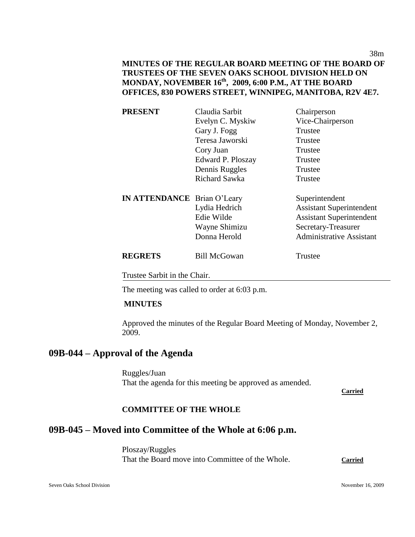38m

# **MINUTES OF THE REGULAR BOARD MEETING OF THE BOARD OF TRUSTEES OF THE SEVEN OAKS SCHOOL DIVISION HELD ON MONDAY, NOVEMBER 16th, 2009, 6:00 P.M., AT THE BOARD OFFICES, 830 POWERS STREET, WINNIPEG, MANITOBA, R2V 4E7.**

| <b>PRESENT</b>                     | Claudia Sarbit       | Chairperson                     |
|------------------------------------|----------------------|---------------------------------|
|                                    | Evelyn C. Myskiw     | Vice-Chairperson                |
|                                    | Gary J. Fogg         | Trustee                         |
|                                    | Teresa Jaworski      | Trustee                         |
|                                    | Cory Juan            | Trustee                         |
|                                    | Edward P. Ploszay    | Trustee                         |
|                                    | Dennis Ruggles       | Trustee                         |
|                                    | <b>Richard Sawka</b> | Trustee                         |
| <b>IN ATTENDANCE</b> Brian O'Leary |                      | Superintendent                  |
|                                    | Lydia Hedrich        | <b>Assistant Superintendent</b> |
|                                    | Edie Wilde           | <b>Assistant Superintendent</b> |
|                                    | Wayne Shimizu        | Secretary-Treasurer             |
|                                    | Donna Herold         | <b>Administrative Assistant</b> |
| <b>REGRETS</b>                     | <b>Bill McGowan</b>  | Trustee                         |
| Trustee Sarbit in the Chair.       |                      |                                 |

The meeting was called to order at 6:03 p.m.

#### **MINUTES**

Approved the minutes of the Regular Board Meeting of Monday, November 2, 2009.

# **09B-044 – Approval of the Agenda**

Ruggles/Juan That the agenda for this meeting be approved as amended.

**Carried**

#### **COMMITTEE OF THE WHOLE**

# **09B-045 – Moved into Committee of the Whole at 6:06 p.m.**

Ploszay/Ruggles That the Board move into Committee of the Whole. **Carried**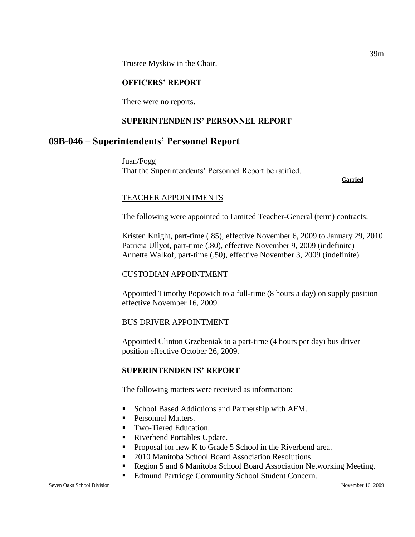Trustee Myskiw in the Chair.

## **OFFICERS' REPORT**

There were no reports.

## **SUPERINTENDENTS' PERSONNEL REPORT**

# **09B-046 – Superintendents' Personnel Report**

Juan/Fogg That the Superintendents' Personnel Report be ratified.

**Carried**

#### TEACHER APPOINTMENTS

The following were appointed to Limited Teacher-General (term) contracts:

Kristen Knight, part-time (.85), effective November 6, 2009 to January 29, 2010 Patricia Ullyot, part-time (.80), effective November 9, 2009 (indefinite) Annette Walkof, part-time (.50), effective November 3, 2009 (indefinite)

#### CUSTODIAN APPOINTMENT

Appointed Timothy Popowich to a full-time (8 hours a day) on supply position effective November 16, 2009.

#### BUS DRIVER APPOINTMENT

Appointed Clinton Grzebeniak to a part-time (4 hours per day) bus driver position effective October 26, 2009.

## **SUPERINTENDENTS' REPORT**

The following matters were received as information:

- **School Based Addictions and Partnership with AFM.**
- Personnel Matters.
- Two-Tiered Education.
- Riverbend Portables Update.
- **Proposal for new K to Grade 5 School in the Riverbend area.**
- 2010 Manitoba School Board Association Resolutions.
- Region 5 and 6 Manitoba School Board Association Networking Meeting.
- **Edmund Partridge Community School Student Concern.**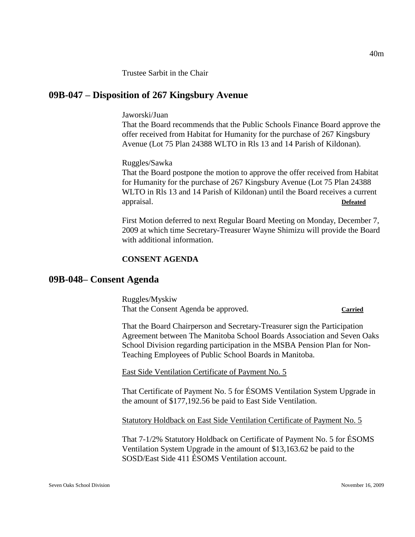Trustee Sarbit in the Chair

# **09B-047 – Disposition of 267 Kingsbury Avenue**

Jaworski/Juan

That the Board recommends that the Public Schools Finance Board approve the offer received from Habitat for Humanity for the purchase of 267 Kingsbury Avenue (Lot 75 Plan 24388 WLTO in Rls 13 and 14 Parish of Kildonan).

Ruggles/Sawka

That the Board postpone the motion to approve the offer received from Habitat for Humanity for the purchase of 267 Kingsbury Avenue (Lot 75 Plan 24388 WLTO in Rls 13 and 14 Parish of Kildonan) until the Board receives a current appraisal. **Defeated**

First Motion deferred to next Regular Board Meeting on Monday, December 7, 2009 at which time Secretary-Treasurer Wayne Shimizu will provide the Board with additional information.

#### **CONSENT AGENDA**

#### **09B-048– Consent Agenda**

Ruggles/Myskiw That the Consent Agenda be approved. **Carried**

That the Board Chairperson and Secretary-Treasurer sign the Participation Agreement between The Manitoba School Boards Association and Seven Oaks School Division regarding participation in the MSBA Pension Plan for Non-Teaching Employees of Public School Boards in Manitoba.

East Side Ventilation Certificate of Payment No. 5

That Certificate of Payment No. 5 for ÉSOMS Ventilation System Upgrade in the amount of \$177,192.56 be paid to East Side Ventilation.

Statutory Holdback on East Side Ventilation Certificate of Payment No. 5

That 7-1/2% Statutory Holdback on Certificate of Payment No. 5 for ÉSOMS Ventilation System Upgrade in the amount of \$13,163.62 be paid to the SOSD/East Side 411 ÉSOMS Ventilation account.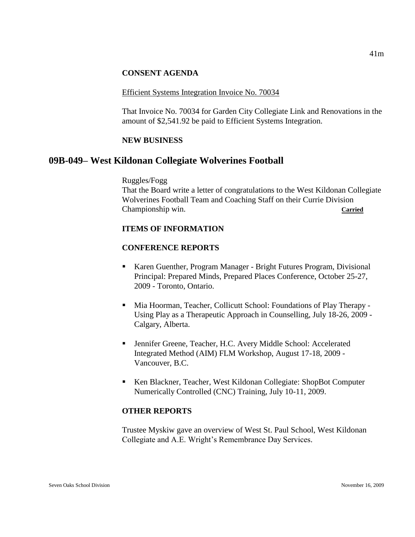#### **CONSENT AGENDA**

#### Efficient Systems Integration Invoice No. 70034

That Invoice No. 70034 for Garden City Collegiate Link and Renovations in the amount of \$2,541.92 be paid to Efficient Systems Integration.

#### **NEW BUSINESS**

## **09B-049– West Kildonan Collegiate Wolverines Football**

Ruggles/Fogg

That the Board write a letter of congratulations to the West Kildonan Collegiate Wolverines Football Team and Coaching Staff on their Currie Division Championship win. **Carried**

#### **ITEMS OF INFORMATION**

#### **CONFERENCE REPORTS**

- Karen Guenther, Program Manager Bright Futures Program, Divisional Principal: Prepared Minds, Prepared Places Conference, October 25-27, 2009 - Toronto, Ontario.
- Mia Hoorman, Teacher, Collicutt School: Foundations of Play Therapy Using Play as a Therapeutic Approach in Counselling, July 18-26, 2009 - Calgary, Alberta.
- Jennifer Greene, Teacher, H.C. Avery Middle School: Accelerated Integrated Method (AIM) FLM Workshop, August 17-18, 2009 - Vancouver, B.C.
- Ken Blackner, Teacher, West Kildonan Collegiate: ShopBot Computer Numerically Controlled (CNC) Training, July 10-11, 2009.

#### **OTHER REPORTS**

Trustee Myskiw gave an overview of West St. Paul School, West Kildonan Collegiate and A.E. Wright's Remembrance Day Services.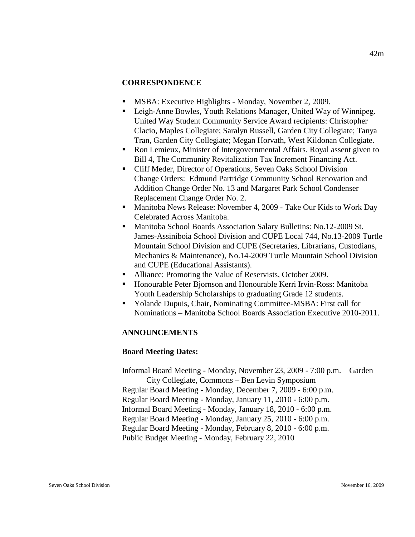#### **CORRESPONDENCE**

- **MSBA:** Executive Highlights Monday, November 2, 2009.
- Leigh-Anne Bowles, Youth Relations Manager, United Way of Winnipeg. United Way Student Community Service Award recipients: Christopher Clacio, Maples Collegiate; Saralyn Russell, Garden City Collegiate; Tanya Tran, Garden City Collegiate; Megan Horvath, West Kildonan Collegiate.
- Ron Lemieux, Minister of Intergovernmental Affairs. Royal assent given to Bill 4, The Community Revitalization Tax Increment Financing Act.
- Cliff Meder, Director of Operations, Seven Oaks School Division Change Orders: Edmund Partridge Community School Renovation and Addition Change Order No. 13 and Margaret Park School Condenser Replacement Change Order No. 2.
- Manitoba News Release: November 4, 2009 Take Our Kids to Work Day Celebrated Across Manitoba.
- Manitoba School Boards Association Salary Bulletins: No.12-2009 St. James-Assiniboia School Division and CUPE Local 744, No.13-2009 Turtle Mountain School Division and CUPE (Secretaries, Librarians, Custodians, Mechanics & Maintenance), No.14-2009 Turtle Mountain School Division and CUPE (Educational Assistants).
- Alliance: Promoting the Value of Reservists, October 2009.
- Honourable Peter Bjornson and Honourable Kerri Irvin-Ross: Manitoba Youth Leadership Scholarships to graduating Grade 12 students.
- Yolande Dupuis, Chair, Nominating Committee-MSBA: First call for Nominations – Manitoba School Boards Association Executive 2010-2011.

#### **ANNOUNCEMENTS**

#### **Board Meeting Dates:**

Informal Board Meeting - Monday, November 23, 2009 - 7:00 p.m. – Garden City Collegiate, Commons – Ben Levin Symposium Regular Board Meeting - Monday, December 7, 2009 - 6:00 p.m. Regular Board Meeting - Monday, January 11, 2010 - 6:00 p.m. Informal Board Meeting - Monday, January 18, 2010 - 6:00 p.m. Regular Board Meeting - Monday, January 25, 2010 - 6:00 p.m. Regular Board Meeting - Monday, February 8, 2010 - 6:00 p.m. Public Budget Meeting - Monday, February 22, 2010